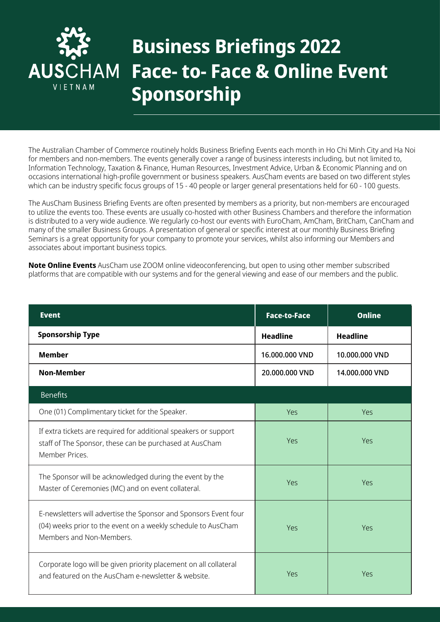

## **Business Briefings 2022 Face- to- Face & Online Event Sponsorship**

The Australian Chamber of Commerce routinely holds Business Briefing Events each month in Ho Chi Minh City and Ha Noi for members and non-members. The events generally cover a range of business interests including, but not limited to, Information Technology, Taxation & Finance, Human Resources, Investment Advice, Urban & Economic Planning and on occasions international high‐profile government or business speakers. AusCham events are based on two different styles which can be industry specific focus groups of 15 - 40 people or larger general presentations held for 60 - 100 quests.

The AusCham Business Briefing Events are often presented by members as a priority, but non-members are encouraged to utilize the events too. These events are usually co‐hosted with other Business Chambers and therefore the information is distributed to a very wide audience. We regularly co-host our events with EuroCham, AmCham, BritCham, CanCham and many of the smaller Business Groups. A presentation of general or specific interest at our monthly Business Briefing Seminars is a great opportunity for your company to promote your services, whilst also informing our Members and associates about important business topics.

**Note Online Events** AusCham use ZOOM online videoconferencing, but open to using other member subscribed platforms that are compatible with our systems and for the general viewing and ease of our members and the public.

| <b>Event</b>                                                                                                                                                  | <b>Face-to-Face</b> | <b>Online</b>   |
|---------------------------------------------------------------------------------------------------------------------------------------------------------------|---------------------|-----------------|
| <b>Sponsorship Type</b>                                                                                                                                       | <b>Headline</b>     | <b>Headline</b> |
| <b>Member</b>                                                                                                                                                 | 16.000.000 VND      | 10.000.000 VND  |
| <b>Non-Member</b>                                                                                                                                             | 20.000.000 VND      | 14.000.000 VND  |
| <b>Benefits</b>                                                                                                                                               |                     |                 |
| One (01) Complimentary ticket for the Speaker.                                                                                                                | Yes                 | Yes             |
| If extra tickets are required for additional speakers or support<br>staff of The Sponsor, these can be purchased at AusCham<br>Member Prices.                 | Yes                 | Yes             |
| The Sponsor will be acknowledged during the event by the<br>Master of Ceremonies (MC) and on event collateral.                                                | Yes                 | Yes             |
| E-newsletters will advertise the Sponsor and Sponsors Event four<br>(04) weeks prior to the event on a weekly schedule to AusCham<br>Members and Non-Members. | Yes                 | Yes             |
| Corporate logo will be given priority placement on all collateral<br>and featured on the AusCham e-newsletter & website.                                      | Yes                 | Yes             |